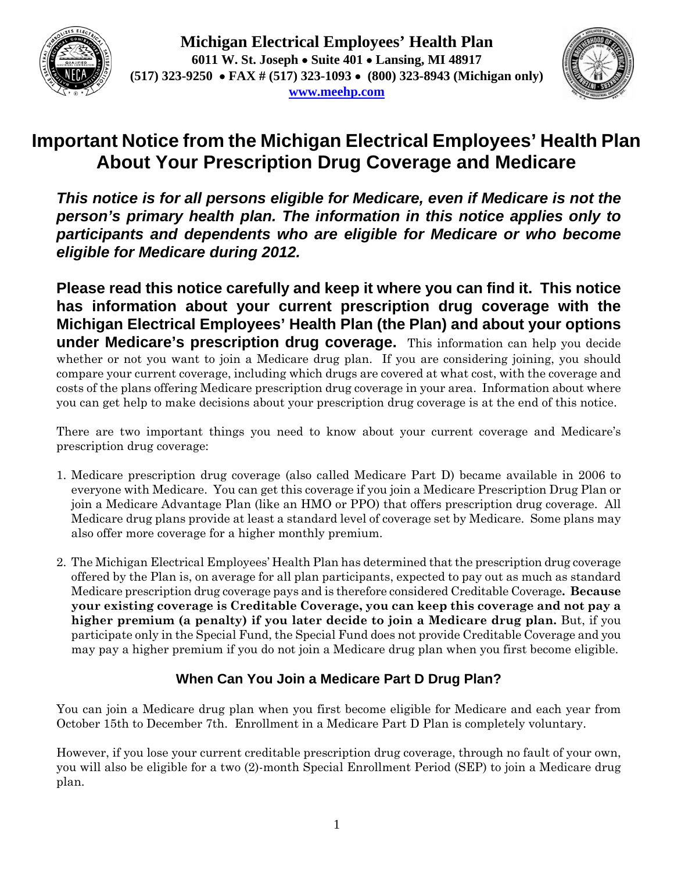



# **Important Notice from the Michigan Electrical Employees' Health Plan About Your Prescription Drug Coverage and Medicare**

*This notice is for all persons eligible for Medicare, even if Medicare is not the person's primary health plan. The information in this notice applies only to participants and dependents who are eligible for Medicare or who become eligible for Medicare during 2012.* 

**Please read this notice carefully and keep it where you can find it. This notice has information about your current prescription drug coverage with the Michigan Electrical Employees' Health Plan (the Plan) and about your options under Medicare's prescription drug coverage.** This information can help you decide whether or not you want to join a Medicare drug plan. If you are considering joining, you should compare your current coverage, including which drugs are covered at what cost, with the coverage and costs of the plans offering Medicare prescription drug coverage in your area. Information about where you can get help to make decisions about your prescription drug coverage is at the end of this notice.

There are two important things you need to know about your current coverage and Medicare's prescription drug coverage:

- 1. Medicare prescription drug coverage (also called Medicare Part D) became available in 2006 to everyone with Medicare. You can get this coverage if you join a Medicare Prescription Drug Plan or join a Medicare Advantage Plan (like an HMO or PPO) that offers prescription drug coverage. All Medicare drug plans provide at least a standard level of coverage set by Medicare. Some plans may also offer more coverage for a higher monthly premium.
- 2. The Michigan Electrical Employees' Health Plan has determined that the prescription drug coverage offered by the Plan is, on average for all plan participants, expected to pay out as much as standard Medicare prescription drug coverage pays and is therefore considered Creditable Coverage**. Because your existing coverage is Creditable Coverage, you can keep this coverage and not pay a higher premium (a penalty) if you later decide to join a Medicare drug plan.** But, if you participate only in the Special Fund, the Special Fund does not provide Creditable Coverage and you may pay a higher premium if you do not join a Medicare drug plan when you first become eligible.

## **When Can You Join a Medicare Part D Drug Plan?**

You can join a Medicare drug plan when you first become eligible for Medicare and each year from October 15th to December 7th. Enrollment in a Medicare Part D Plan is completely voluntary.

However, if you lose your current creditable prescription drug coverage, through no fault of your own, you will also be eligible for a two (2)-month Special Enrollment Period (SEP) to join a Medicare drug plan.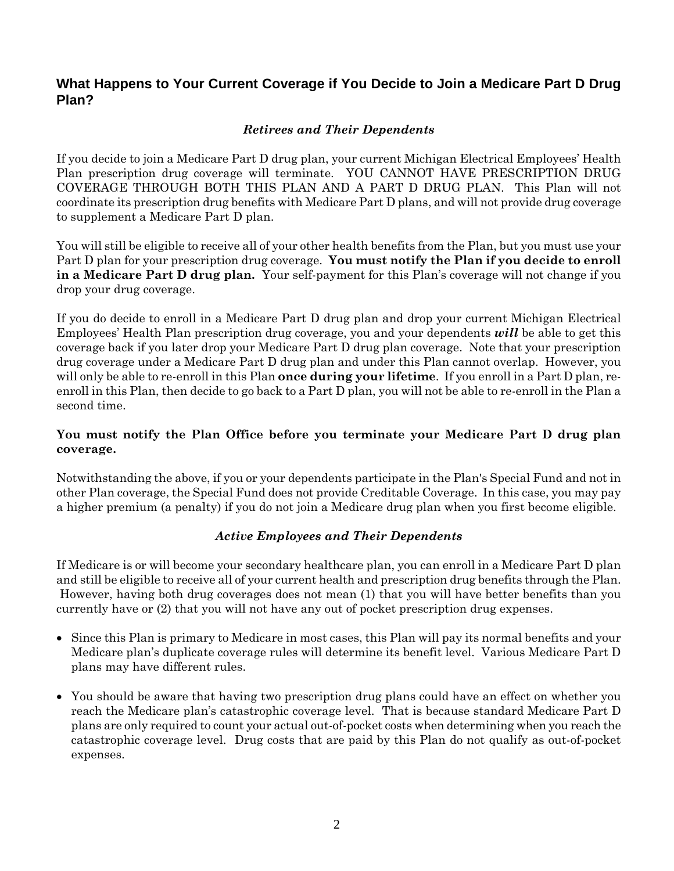## **What Happens to Your Current Coverage if You Decide to Join a Medicare Part D Drug Plan?**

#### *Retirees and Their Dependents*

If you decide to join a Medicare Part D drug plan, your current Michigan Electrical Employees' Health Plan prescription drug coverage will terminate. YOU CANNOT HAVE PRESCRIPTION DRUG COVERAGE THROUGH BOTH THIS PLAN AND A PART D DRUG PLAN. This Plan will not coordinate its prescription drug benefits with Medicare Part D plans, and will not provide drug coverage to supplement a Medicare Part D plan.

You will still be eligible to receive all of your other health benefits from the Plan, but you must use your Part D plan for your prescription drug coverage. **You must notify the Plan if you decide to enroll in a Medicare Part D drug plan.** Your self-payment for this Plan's coverage will not change if you drop your drug coverage.

If you do decide to enroll in a Medicare Part D drug plan and drop your current Michigan Electrical Employees' Health Plan prescription drug coverage, you and your dependents *will* be able to get this coverage back if you later drop your Medicare Part D drug plan coverage. Note that your prescription drug coverage under a Medicare Part D drug plan and under this Plan cannot overlap. However, you will only be able to re-enroll in this Plan **once during your lifetime**. If you enroll in a Part D plan, reenroll in this Plan, then decide to go back to a Part D plan, you will not be able to re-enroll in the Plan a second time.

#### **You must notify the Plan Office before you terminate your Medicare Part D drug plan coverage.**

Notwithstanding the above, if you or your dependents participate in the Plan's Special Fund and not in other Plan coverage, the Special Fund does not provide Creditable Coverage. In this case, you may pay a higher premium (a penalty) if you do not join a Medicare drug plan when you first become eligible.

#### *Active Employees and Their Dependents*

If Medicare is or will become your secondary healthcare plan, you can enroll in a Medicare Part D plan and still be eligible to receive all of your current health and prescription drug benefits through the Plan. However, having both drug coverages does not mean (1) that you will have better benefits than you currently have or (2) that you will not have any out of pocket prescription drug expenses.

- Since this Plan is primary to Medicare in most cases, this Plan will pay its normal benefits and your Medicare plan's duplicate coverage rules will determine its benefit level. Various Medicare Part D plans may have different rules.
- You should be aware that having two prescription drug plans could have an effect on whether you reach the Medicare plan's catastrophic coverage level. That is because standard Medicare Part D plans are only required to count your actual out-of-pocket costs when determining when you reach the catastrophic coverage level. Drug costs that are paid by this Plan do not qualify as out-of-pocket expenses.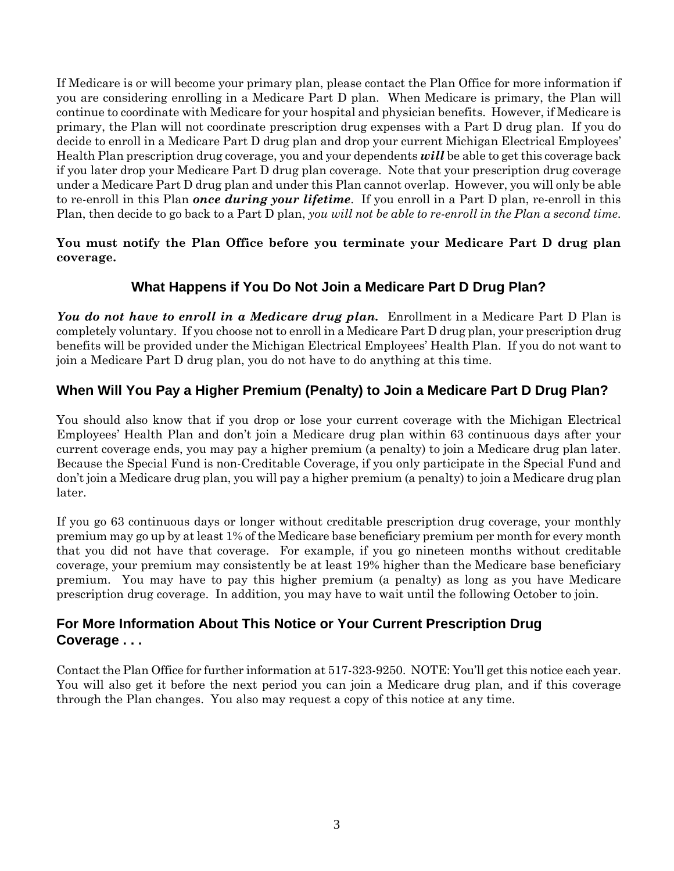If Medicare is or will become your primary plan, please contact the Plan Office for more information if you are considering enrolling in a Medicare Part D plan. When Medicare is primary, the Plan will continue to coordinate with Medicare for your hospital and physician benefits. However, if Medicare is primary, the Plan will not coordinate prescription drug expenses with a Part D drug plan. If you do decide to enroll in a Medicare Part D drug plan and drop your current Michigan Electrical Employees' Health Plan prescription drug coverage, you and your dependents *will* be able to get this coverage back if you later drop your Medicare Part D drug plan coverage. Note that your prescription drug coverage under a Medicare Part D drug plan and under this Plan cannot overlap. However, you will only be able to re-enroll in this Plan *once during your lifetime*. If you enroll in a Part D plan, re-enroll in this Plan, then decide to go back to a Part D plan, *you will not be able to re-enroll in the Plan a second time*.

**You must notify the Plan Office before you terminate your Medicare Part D drug plan coverage.** 

## **What Happens if You Do Not Join a Medicare Part D Drug Plan?**

*You do not have to enroll in a Medicare drug plan.* Enrollment in a Medicare Part D Plan is completely voluntary. If you choose not to enroll in a Medicare Part D drug plan, your prescription drug benefits will be provided under the Michigan Electrical Employees' Health Plan. If you do not want to join a Medicare Part D drug plan, you do not have to do anything at this time.

## **When Will You Pay a Higher Premium (Penalty) to Join a Medicare Part D Drug Plan?**

You should also know that if you drop or lose your current coverage with the Michigan Electrical Employees' Health Plan and don't join a Medicare drug plan within 63 continuous days after your current coverage ends, you may pay a higher premium (a penalty) to join a Medicare drug plan later. Because the Special Fund is non-Creditable Coverage, if you only participate in the Special Fund and don't join a Medicare drug plan, you will pay a higher premium (a penalty) to join a Medicare drug plan later.

If you go 63 continuous days or longer without creditable prescription drug coverage, your monthly premium may go up by at least 1% of the Medicare base beneficiary premium per month for every month that you did not have that coverage. For example, if you go nineteen months without creditable coverage, your premium may consistently be at least 19% higher than the Medicare base beneficiary premium. You may have to pay this higher premium (a penalty) as long as you have Medicare prescription drug coverage. In addition, you may have to wait until the following October to join.

## **For More Information About This Notice or Your Current Prescription Drug Coverage . . .**

Contact the Plan Office for further information at 517-323-9250. NOTE: You'll get this notice each year. You will also get it before the next period you can join a Medicare drug plan, and if this coverage through the Plan changes. You also may request a copy of this notice at any time.